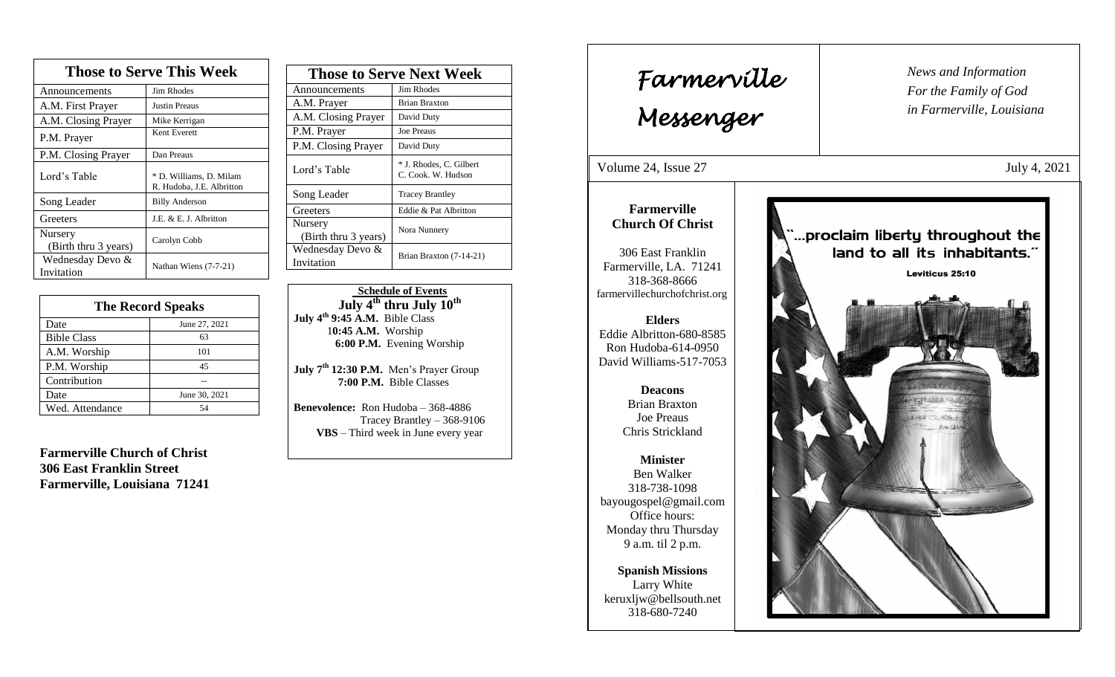| <b>Those to Serve This Week</b> |                                                      |  |
|---------------------------------|------------------------------------------------------|--|
| Announcements                   | Jim Rhodes                                           |  |
| A.M. First Prayer               | Justin Preaus                                        |  |
| A.M. Closing Prayer             | Mike Kerrigan                                        |  |
| P.M. Prayer                     | Kent Everett                                         |  |
| P.M. Closing Prayer             | Dan Preaus                                           |  |
| Lord's Table                    | * D. Williams, D. Milam<br>R. Hudoba, J.E. Albritton |  |
| Song Leader                     | <b>Billy Anderson</b>                                |  |
| Greeters                        | J.E. & E. J. Albritton                               |  |
| Nursery<br>(Birth thru 3 years) | Carolyn Cobb                                         |  |
| Wednesday Devo &<br>Invitation  | Nathan Wiens (7-7-21)                                |  |

| <b>The Record Speaks</b> |               |  |
|--------------------------|---------------|--|
| Date                     | June 27, 2021 |  |
| <b>Bible Class</b>       | 63            |  |
| A.M. Worship             | 101           |  |
| P.M. Worship             | 45            |  |
| Contribution             |               |  |
| Date                     | June 30, 2021 |  |
| Wed. Attendance          | 54            |  |

**Farmerville Church of Christ 306 East Franklin Street Farmerville, Louisiana 71241**

| <b>Those to Serve Next Week</b> |                                               |
|---------------------------------|-----------------------------------------------|
| Announcements                   | Jim Rhodes                                    |
| A.M. Prayer                     | <b>Brian Braxton</b>                          |
| A.M. Closing Prayer             | David Duty                                    |
| P.M. Prayer                     | <b>Joe Preaus</b>                             |
| P.M. Closing Prayer             | David Duty                                    |
| Lord's Table                    | * J. Rhodes, C. Gilbert<br>C. Cook. W. Hudson |
| Song Leader                     | <b>Tracey Brantley</b>                        |
| Greeters                        | Eddie & Pat Albritton                         |
| Nursery<br>(Birth thru 3 years) | Nora Nunnery                                  |
| Wednesday Devo &<br>Invitation  | Brian Braxton (7-14-21)                       |

 **Schedule of Events July 4th thru July 10th July 4 th 9:45 A.M.** Bible Class 1**0:45 A.M.** Worship  **6:00 P.M.** Evening Worship

**July 7 th 12:30 P.M.** Men's Prayer Group **7:00 P.M.** Bible Classes

**Benevolence:** Ron Hudoba – 368-4886 Tracey Brantley – 368-9106 **VBS** – Third week in June every year

*News and Information* **Farmerville**  $\begin{bmatrix} \text{News an} \\ \text{For the} \end{bmatrix}$ *For the Family of God in Farmerville, Louisiana Messenger*  Volume 24, Issue 27 July 4, 2021 , 2015 **Farmerville Church Of Christ** ...proclaim liberty throughout the land to all its inhabitants." 306 East Franklin Farmerville, LA. 71241 **Leviticus 25:10** 318-368-8666 farmervillechurchofchrist.org **Elders** Eddie Albritton-680-8585 Ron Hudoba-614-0950 David Williams-517-7053 **Deacons**  Brian Braxton Joe Preaus Chris Strickland **Minister** Ben Walker 318-738-1098 bayougospel@gmail.com Office hours: Monday thru Thursday 9 a.m. til 2 p.m. **Spanish Missions** Larry White keruxljw@bellsouth.net 318-680-7240